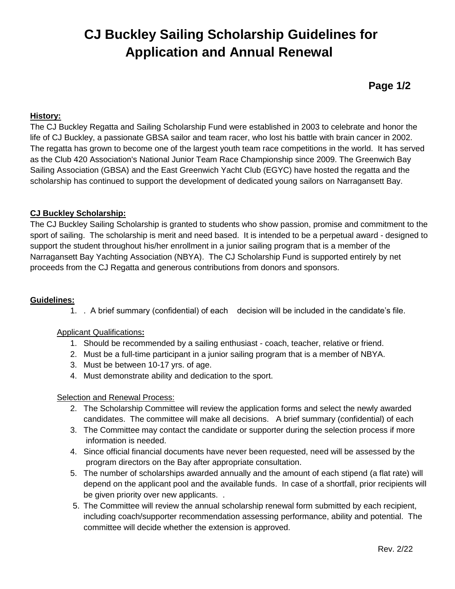# **CJ Buckley Sailing Scholarship Guidelines for Application and Annual Renewal**

**Page 1/2**

#### **History:**

The CJ Buckley Regatta and Sailing Scholarship Fund were established in 2003 to celebrate and honor the life of CJ Buckley, a passionate GBSA sailor and team racer, who lost his battle with brain cancer in 2002. The regatta has grown to become one of the largest youth team race competitions in the world. It has served as the Club 420 Association's National Junior Team Race Championship since 2009. The Greenwich Bay Sailing Association (GBSA) and the East Greenwich Yacht Club (EGYC) have hosted the regatta and the scholarship has continued to support the development of dedicated young sailors on Narragansett Bay.

#### **CJ Buckley Scholarship:**

The CJ Buckley Sailing Scholarship is granted to students who show passion, promise and commitment to the sport of sailing. The scholarship is merit and need based. It is intended to be a perpetual award - designed to support the student throughout his/her enrollment in a junior sailing program that is a member of the Narragansett Bay Yachting Association (NBYA). The CJ Scholarship Fund is supported entirely by net proceeds from the CJ Regatta and generous contributions from donors and sponsors.

#### **Guidelines:**

1. . A brief summary (confidential) of each decision will be included in the candidate's file.

#### Applicant Qualifications**:**

- 1. Should be recommended by a sailing enthusiast coach, teacher, relative or friend.
- 2. Must be a full-time participant in a junior sailing program that is a member of NBYA.
- 3. Must be between 10-17 yrs. of age.
- 4. Must demonstrate ability and dedication to the sport.

#### Selection and Renewal Process:

- 2. The Scholarship Committee will review the application forms and select the newly awarded candidates. The committee will make all decisions. A brief summary (confidential) of each
- 3. The Committee may contact the candidate or supporter during the selection process if more information is needed.
- 4. Since official financial documents have never been requested, need will be assessed by the program directors on the Bay after appropriate consultation.
- 5. The number of scholarships awarded annually and the amount of each stipend (a flat rate) will depend on the applicant pool and the available funds. In case of a shortfall, prior recipients will be given priority over new applicants. .
- 5. The Committee will review the annual scholarship renewal form submitted by each recipient, including coach/supporter recommendation assessing performance, ability and potential. The committee will decide whether the extension is approved.